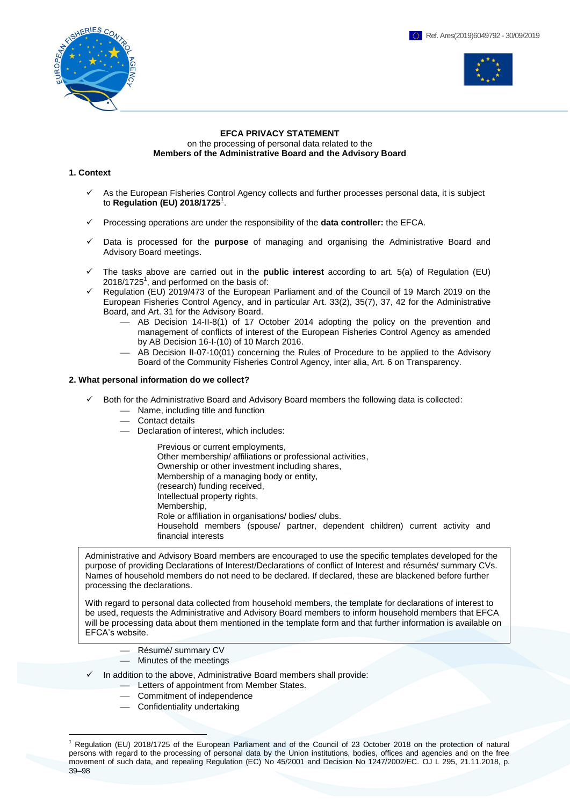



# **EFCA PRIVACY STATEMENT** on the processing of personal data related to the **Members of the Administrative Board and the Advisory Board**

# **1. Context**

- As the European Fisheries Control Agency collects and further processes personal data, it is subject to **Regulation (EU) 2018/1725**<sup>1</sup> .
- Processing operations are under the responsibility of the **data controller:** the EFCA.
- Data is processed for the **purpose** of managing and organising the Administrative Board and Advisory Board meetings.
- The tasks above are carried out in the **public interest** according to art. 5(a) of Regulation (EU)  $2018/1725<sup>1</sup>$ , and performed on the basis of:
- Regulation (EU) 2019/473 of the European Parliament and of the Council of 19 March 2019 on the European Fisheries Control Agency, and in particular Art. 33(2), 35(7), 37, 42 for the Administrative Board, and Art. 31 for the Advisory Board.
	- AB Decision 14-II-8(1) of 17 October 2014 adopting the policy on the prevention and management of conflicts of interest of the European Fisheries Control Agency as amended by AB Decision 16-I-(10) of 10 March 2016.
	- AB Decision II-07-10(01) concerning the Rules of Procedure to be applied to the Advisory Board of the Community Fisheries Control Agency, inter alia, Art. 6 on Transparency.

# **2. What personal information do we collect?**

- Both for the Administrative Board and Advisory Board members the following data is collected:
	- Name, including title and function
	- Contact details
	- Declaration of interest, which includes:

Previous or current employments, Other membership/ affiliations or professional activities, Ownership or other investment including shares, Membership of a managing body or entity, (research) funding received, Intellectual property rights, Membership, Role or affiliation in organisations/ bodies/ clubs.

Household members (spouse/ partner, dependent children) current activity and financial interests

Administrative and Advisory Board members are encouraged to use the specific templates developed for the purpose of providing Declarations of Interest/Declarations of conflict of Interest and résumés/ summary CVs. Names of household members do not need to be declared. If declared, these are blackened before further processing the declarations.

With regard to personal data collected from household members, the template for declarations of interest to be used, requests the Administrative and Advisory Board members to inform household members that EFCA will be processing data about them mentioned in the template form and that further information is available on EFCA's website.

- Résumé/ summary CV
- Minutes of the meetings
- In addition to the above, Administrative Board members shall provide:
	- Letters of appointment from Member States.
	- Commitment of independence
	- $-$  Confidentiality undertaking

<sup>1</sup> <sup>1</sup> [Regulation \(EU\) 2018/1725 of the European Parliament and of the Council of 23 October 2018 on the protection of natural](https://eur-lex.europa.eu/legal-content/EN/TXT/?uri=celex:32018R1725)  [persons with regard to the processing of personal data by the Union institutions, bodies, offices and agencies and on the free](https://eur-lex.europa.eu/legal-content/EN/TXT/?uri=celex:32018R1725)  [movement of such data, and repealing Regulation \(EC\) No 45/2001 and Decision No 1247/2002/EC](https://eur-lex.europa.eu/legal-content/EN/TXT/?uri=celex:32018R1725)*.* OJ L 295, 21.11.2018, p. 39–98